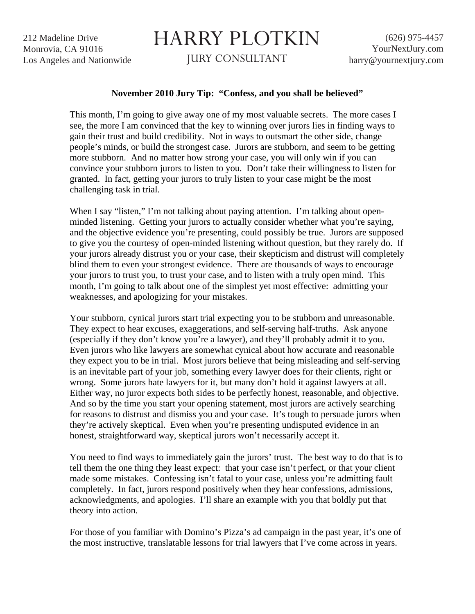212 Madeline Drive Monrovia, CA 91016 Los Angeles and Nationwide

## HARRY PLOTKIN

JURY CONSULTANT

## **November 2010 Jury Tip: "Confess, and you shall be believed"**

This month, I'm going to give away one of my most valuable secrets. The more cases I see, the more I am convinced that the key to winning over jurors lies in finding ways to gain their trust and build credibility. Not in ways to outsmart the other side, change people's minds, or build the strongest case. Jurors are stubborn, and seem to be getting more stubborn. And no matter how strong your case, you will only win if you can convince your stubborn jurors to listen to you. Don't take their willingness to listen for granted. In fact, getting your jurors to truly listen to your case might be the most challenging task in trial.

When I say "listen," I'm not talking about paying attention. I'm talking about openminded listening. Getting your jurors to actually consider whether what you're saying, and the objective evidence you're presenting, could possibly be true. Jurors are supposed to give you the courtesy of open-minded listening without question, but they rarely do. If your jurors already distrust you or your case, their skepticism and distrust will completely blind them to even your strongest evidence. There are thousands of ways to encourage your jurors to trust you, to trust your case, and to listen with a truly open mind. This month, I'm going to talk about one of the simplest yet most effective: admitting your weaknesses, and apologizing for your mistakes.

Your stubborn, cynical jurors start trial expecting you to be stubborn and unreasonable. They expect to hear excuses, exaggerations, and self-serving half-truths. Ask anyone (especially if they don't know you're a lawyer), and they'll probably admit it to you. Even jurors who like lawyers are somewhat cynical about how accurate and reasonable they expect you to be in trial. Most jurors believe that being misleading and self-serving is an inevitable part of your job, something every lawyer does for their clients, right or wrong. Some jurors hate lawyers for it, but many don't hold it against lawyers at all. Either way, no juror expects both sides to be perfectly honest, reasonable, and objective. And so by the time you start your opening statement, most jurors are actively searching for reasons to distrust and dismiss you and your case. It's tough to persuade jurors when they're actively skeptical. Even when you're presenting undisputed evidence in an honest, straightforward way, skeptical jurors won't necessarily accept it.

You need to find ways to immediately gain the jurors' trust. The best way to do that is to tell them the one thing they least expect: that your case isn't perfect, or that your client made some mistakes. Confessing isn't fatal to your case, unless you're admitting fault completely. In fact, jurors respond positively when they hear confessions, admissions, acknowledgments, and apologies. I'll share an example with you that boldly put that theory into action.

For those of you familiar with Domino's Pizza's ad campaign in the past year, it's one of the most instructive, translatable lessons for trial lawyers that I've come across in years.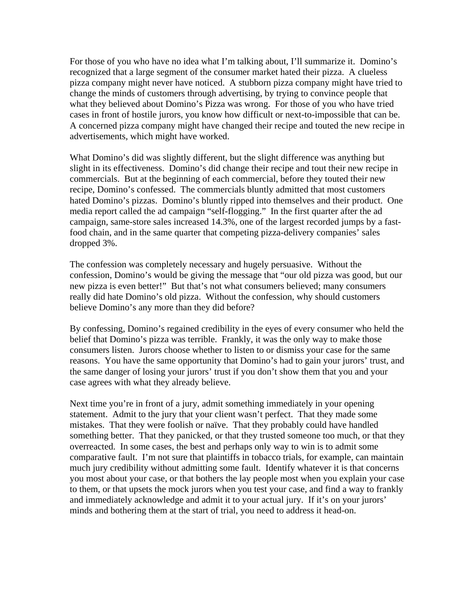For those of you who have no idea what I'm talking about, I'll summarize it. Domino's recognized that a large segment of the consumer market hated their pizza. A clueless pizza company might never have noticed. A stubborn pizza company might have tried to change the minds of customers through advertising, by trying to convince people that what they believed about Domino's Pizza was wrong. For those of you who have tried cases in front of hostile jurors, you know how difficult or next-to-impossible that can be. A concerned pizza company might have changed their recipe and touted the new recipe in advertisements, which might have worked.

What Domino's did was slightly different, but the slight difference was anything but slight in its effectiveness. Domino's did change their recipe and tout their new recipe in commercials. But at the beginning of each commercial, before they touted their new recipe, Domino's confessed. The commercials bluntly admitted that most customers hated Domino's pizzas. Domino's bluntly ripped into themselves and their product. One media report called the ad campaign "self-flogging." In the first quarter after the ad campaign, same-store sales increased 14.3%, one of the largest recorded jumps by a fastfood chain, and in the same quarter that competing pizza-delivery companies' sales dropped 3%.

The confession was completely necessary and hugely persuasive. Without the confession, Domino's would be giving the message that "our old pizza was good, but our new pizza is even better!" But that's not what consumers believed; many consumers really did hate Domino's old pizza. Without the confession, why should customers believe Domino's any more than they did before?

By confessing, Domino's regained credibility in the eyes of every consumer who held the belief that Domino's pizza was terrible. Frankly, it was the only way to make those consumers listen. Jurors choose whether to listen to or dismiss your case for the same reasons. You have the same opportunity that Domino's had to gain your jurors' trust, and the same danger of losing your jurors' trust if you don't show them that you and your case agrees with what they already believe.

Next time you're in front of a jury, admit something immediately in your opening statement. Admit to the jury that your client wasn't perfect. That they made some mistakes. That they were foolish or naïve. That they probably could have handled something better. That they panicked, or that they trusted someone too much, or that they overreacted. In some cases, the best and perhaps only way to win is to admit some comparative fault. I'm not sure that plaintiffs in tobacco trials, for example, can maintain much jury credibility without admitting some fault. Identify whatever it is that concerns you most about your case, or that bothers the lay people most when you explain your case to them, or that upsets the mock jurors when you test your case, and find a way to frankly and immediately acknowledge and admit it to your actual jury. If it's on your jurors' minds and bothering them at the start of trial, you need to address it head-on.